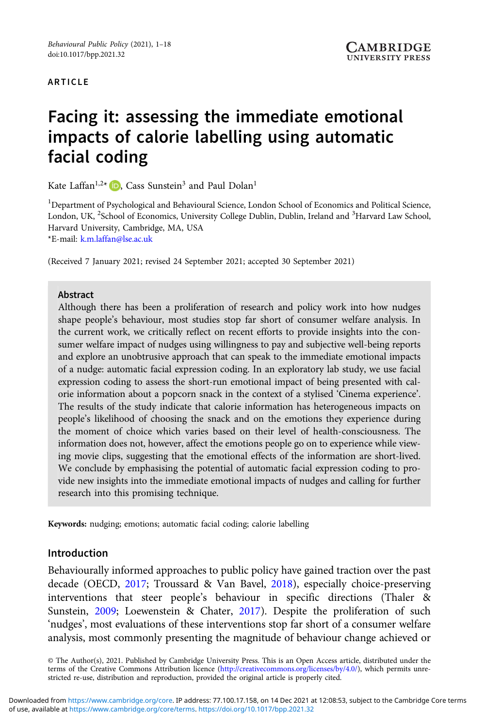#### ARTICLE

# Facing it: assessing the immediate emotional impacts of calorie labelling using automatic facial coding

Kate Laffan<sup>1[,](https://orcid.org/0000-0002-3366-7704)2\*</sup>  $\Box$ , Cass Sunstein<sup>3</sup> and Paul Dolan<sup>1</sup>

<sup>1</sup>Department of Psychological and Behavioural Science, London School of Economics and Political Science, London, UK, <sup>2</sup>School of Economics, University College Dublin, Dublin, Ireland and <sup>3</sup>Harvard Law School, Harvard University, Cambridge, MA, USA

\*E-mail: [k.m.laffan@lse.ac.uk](mailto:k.m.laffan@lse.ac.uk)

(Received 7 January 2021; revised 24 September 2021; accepted 30 September 2021)

#### Abstract

Although there has been a proliferation of research and policy work into how nudges shape people's behaviour, most studies stop far short of consumer welfare analysis. In the current work, we critically reflect on recent efforts to provide insights into the consumer welfare impact of nudges using willingness to pay and subjective well-being reports and explore an unobtrusive approach that can speak to the immediate emotional impacts of a nudge: automatic facial expression coding. In an exploratory lab study, we use facial expression coding to assess the short-run emotional impact of being presented with calorie information about a popcorn snack in the context of a stylised 'Cinema experience'. The results of the study indicate that calorie information has heterogeneous impacts on people's likelihood of choosing the snack and on the emotions they experience during the moment of choice which varies based on their level of health-consciousness. The information does not, however, affect the emotions people go on to experience while viewing movie clips, suggesting that the emotional effects of the information are short-lived. We conclude by emphasising the potential of automatic facial expression coding to provide new insights into the immediate emotional impacts of nudges and calling for further research into this promising technique.

Keywords: nudging; emotions; automatic facial coding; calorie labelling

#### Introduction

Behaviourally informed approaches to public policy have gained traction over the past decade (OECD, [2017](#page-15-0); Troussard & Van Bavel, [2018](#page-16-0)), especially choice-preserving interventions that steer people's behaviour in specific directions (Thaler & Sunstein, [2009](#page-16-0); Loewenstein & Chater, [2017\)](#page-15-0). Despite the proliferation of such 'nudges', most evaluations of these interventions stop far short of a consumer welfare analysis, most commonly presenting the magnitude of behaviour change achieved or

© The Author(s), 2021. Published by Cambridge University Press. This is an Open Access article, distributed under the terms of the Creative Commons Attribution licence ([http://creativecommons.org/licenses/by/4.0/\)](http://creativecommons.org/licenses/by/4.0/), which permits unrestricted re-use, distribution and reproduction, provided the original article is properly cited.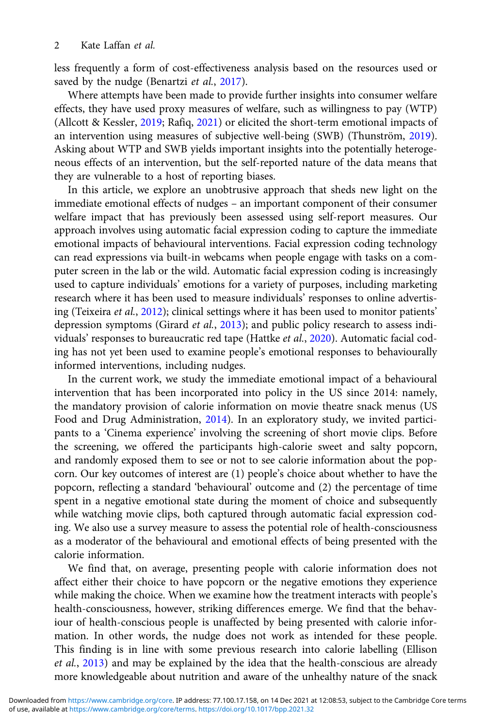less frequently a form of cost-effectiveness analysis based on the resources used or saved by the nudge (Benartzi et al., [2017](#page-14-0)).

Where attempts have been made to provide further insights into consumer welfare effects, they have used proxy measures of welfare, such as willingness to pay (WTP) (Allcott & Kessler, [2019;](#page-14-0) Rafiq, [2021\)](#page-15-0) or elicited the short-term emotional impacts of an intervention using measures of subjective well-being (SWB) (Thunström, [2019\)](#page-16-0). Asking about WTP and SWB yields important insights into the potentially heterogeneous effects of an intervention, but the self-reported nature of the data means that they are vulnerable to a host of reporting biases.

In this article, we explore an unobtrusive approach that sheds new light on the immediate emotional effects of nudges – an important component of their consumer welfare impact that has previously been assessed using self-report measures. Our approach involves using automatic facial expression coding to capture the immediate emotional impacts of behavioural interventions. Facial expression coding technology can read expressions via built-in webcams when people engage with tasks on a computer screen in the lab or the wild. Automatic facial expression coding is increasingly used to capture individuals' emotions for a variety of purposes, including marketing research where it has been used to measure individuals' responses to online advertising (Teixeira et al., [2012](#page-16-0)); clinical settings where it has been used to monitor patients' depression symptoms (Girard et al., [2013\)](#page-15-0); and public policy research to assess individuals' responses to bureaucratic red tape (Hattke et al., [2020](#page-15-0)). Automatic facial coding has not yet been used to examine people's emotional responses to behaviourally informed interventions, including nudges.

In the current work, we study the immediate emotional impact of a behavioural intervention that has been incorporated into policy in the US since 2014: namely, the mandatory provision of calorie information on movie theatre snack menus (US Food and Drug Administration, [2014\)](#page-16-0). In an exploratory study, we invited participants to a 'Cinema experience' involving the screening of short movie clips. Before the screening, we offered the participants high-calorie sweet and salty popcorn, and randomly exposed them to see or not to see calorie information about the popcorn. Our key outcomes of interest are (1) people's choice about whether to have the popcorn, reflecting a standard 'behavioural' outcome and (2) the percentage of time spent in a negative emotional state during the moment of choice and subsequently while watching movie clips, both captured through automatic facial expression coding. We also use a survey measure to assess the potential role of health-consciousness as a moderator of the behavioural and emotional effects of being presented with the calorie information.

We find that, on average, presenting people with calorie information does not affect either their choice to have popcorn or the negative emotions they experience while making the choice. When we examine how the treatment interacts with people's health-consciousness, however, striking differences emerge. We find that the behaviour of health-conscious people is unaffected by being presented with calorie information. In other words, the nudge does not work as intended for these people. This finding is in line with some previous research into calorie labelling (Ellison et al., [2013\)](#page-15-0) and may be explained by the idea that the health-conscious are already more knowledgeable about nutrition and aware of the unhealthy nature of the snack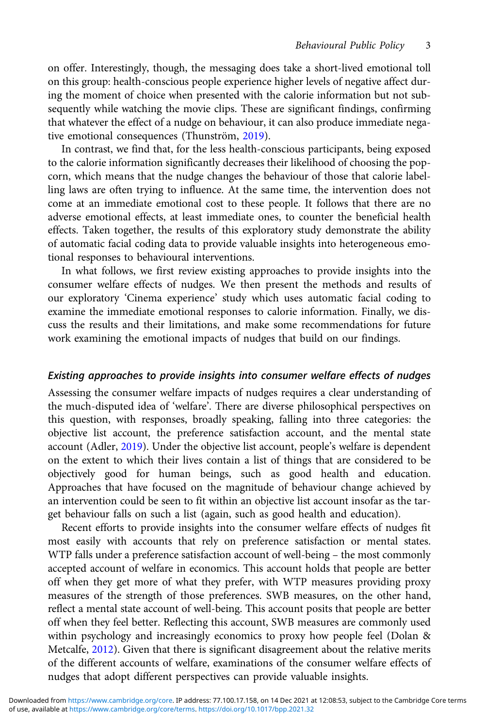on offer. Interestingly, though, the messaging does take a short-lived emotional toll on this group: health-conscious people experience higher levels of negative affect during the moment of choice when presented with the calorie information but not subsequently while watching the movie clips. These are significant findings, confirming that whatever the effect of a nudge on behaviour, it can also produce immediate negative emotional consequences (Thunström, [2019\)](#page-16-0).

In contrast, we find that, for the less health-conscious participants, being exposed to the calorie information significantly decreases their likelihood of choosing the popcorn, which means that the nudge changes the behaviour of those that calorie labelling laws are often trying to influence. At the same time, the intervention does not come at an immediate emotional cost to these people. It follows that there are no adverse emotional effects, at least immediate ones, to counter the beneficial health effects. Taken together, the results of this exploratory study demonstrate the ability of automatic facial coding data to provide valuable insights into heterogeneous emotional responses to behavioural interventions.

In what follows, we first review existing approaches to provide insights into the consumer welfare effects of nudges. We then present the methods and results of our exploratory 'Cinema experience' study which uses automatic facial coding to examine the immediate emotional responses to calorie information. Finally, we discuss the results and their limitations, and make some recommendations for future work examining the emotional impacts of nudges that build on our findings.

## Existing approaches to provide insights into consumer welfare effects of nudges

Assessing the consumer welfare impacts of nudges requires a clear understanding of the much-disputed idea of 'welfare'. There are diverse philosophical perspectives on this question, with responses, broadly speaking, falling into three categories: the objective list account, the preference satisfaction account, and the mental state account (Adler, [2019\)](#page-14-0). Under the objective list account, people's welfare is dependent on the extent to which their lives contain a list of things that are considered to be objectively good for human beings, such as good health and education. Approaches that have focused on the magnitude of behaviour change achieved by an intervention could be seen to fit within an objective list account insofar as the target behaviour falls on such a list (again, such as good health and education).

Recent efforts to provide insights into the consumer welfare effects of nudges fit most easily with accounts that rely on preference satisfaction or mental states. WTP falls under a preference satisfaction account of well-being – the most commonly accepted account of welfare in economics. This account holds that people are better off when they get more of what they prefer, with WTP measures providing proxy measures of the strength of those preferences. SWB measures, on the other hand, reflect a mental state account of well-being. This account posits that people are better off when they feel better. Reflecting this account, SWB measures are commonly used within psychology and increasingly economics to proxy how people feel (Dolan & Metcalfe, [2012\)](#page-14-0). Given that there is significant disagreement about the relative merits of the different accounts of welfare, examinations of the consumer welfare effects of nudges that adopt different perspectives can provide valuable insights.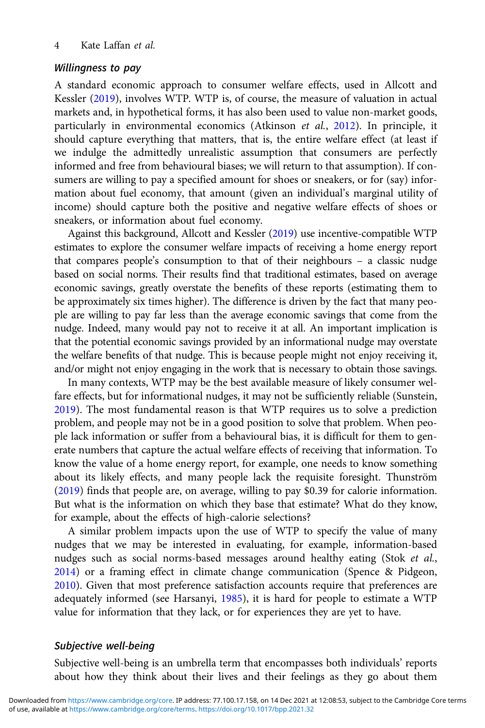#### Willingness to pay

A standard economic approach to consumer welfare effects, used in Allcott and Kessler [\(2019](#page-14-0)), involves WTP. WTP is, of course, the measure of valuation in actual markets and, in hypothetical forms, it has also been used to value non-market goods, particularly in environmental economics (Atkinson et al., [2012\)](#page-14-0). In principle, it should capture everything that matters, that is, the entire welfare effect (at least if we indulge the admittedly unrealistic assumption that consumers are perfectly informed and free from behavioural biases; we will return to that assumption). If consumers are willing to pay a specified amount for shoes or sneakers, or for (say) information about fuel economy, that amount (given an individual's marginal utility of income) should capture both the positive and negative welfare effects of shoes or sneakers, or information about fuel economy.

Against this background, Allcott and Kessler [\(2019\)](#page-14-0) use incentive-compatible WTP estimates to explore the consumer welfare impacts of receiving a home energy report that compares people's consumption to that of their neighbours – a classic nudge based on social norms. Their results find that traditional estimates, based on average economic savings, greatly overstate the benefits of these reports (estimating them to be approximately six times higher). The difference is driven by the fact that many people are willing to pay far less than the average economic savings that come from the nudge. Indeed, many would pay not to receive it at all. An important implication is that the potential economic savings provided by an informational nudge may overstate the welfare benefits of that nudge. This is because people might not enjoy receiving it, and/or might not enjoy engaging in the work that is necessary to obtain those savings.

In many contexts, WTP may be the best available measure of likely consumer welfare effects, but for informational nudges, it may not be sufficiently reliable (Sunstein, [2019](#page-16-0)). The most fundamental reason is that WTP requires us to solve a prediction problem, and people may not be in a good position to solve that problem. When people lack information or suffer from a behavioural bias, it is difficult for them to generate numbers that capture the actual welfare effects of receiving that information. To know the value of a home energy report, for example, one needs to know something about its likely effects, and many people lack the requisite foresight. Thunström ([2019\)](#page-16-0) finds that people are, on average, willing to pay \$0.39 for calorie information. But what is the information on which they base that estimate? What do they know, for example, about the effects of high-calorie selections?

A similar problem impacts upon the use of WTP to specify the value of many nudges that we may be interested in evaluating, for example, information-based nudges such as social norms-based messages around healthy eating (Stok et al., [2014](#page-16-0)) or a framing effect in climate change communication (Spence & Pidgeon, [2010](#page-16-0)). Given that most preference satisfaction accounts require that preferences are adequately informed (see Harsanyi, [1985](#page-15-0)), it is hard for people to estimate a WTP value for information that they lack, or for experiences they are yet to have.

#### Subjective well-being

Subjective well-being is an umbrella term that encompasses both individuals' reports about how they think about their lives and their feelings as they go about them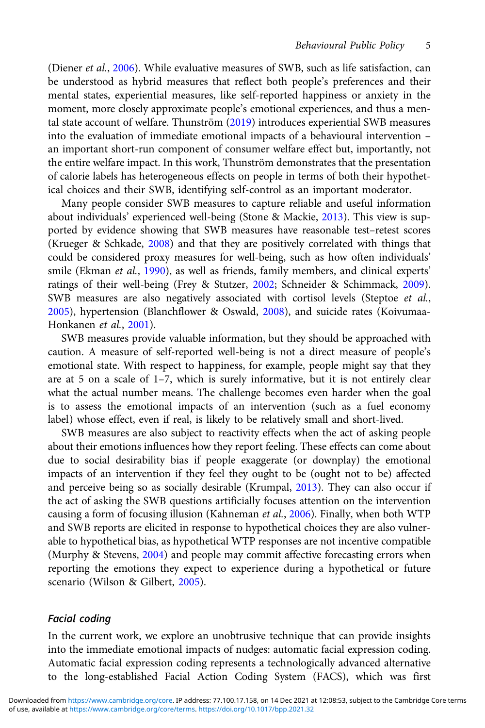(Diener et al., [2006](#page-14-0)). While evaluative measures of SWB, such as life satisfaction, can be understood as hybrid measures that reflect both people's preferences and their mental states, experiential measures, like self-reported happiness or anxiety in the moment, more closely approximate people's emotional experiences, and thus a mental state account of welfare. Thunström [\(2019](#page-16-0)) introduces experiential SWB measures into the evaluation of immediate emotional impacts of a behavioural intervention – an important short-run component of consumer welfare effect but, importantly, not the entire welfare impact. In this work, Thunström demonstrates that the presentation of calorie labels has heterogeneous effects on people in terms of both their hypothetical choices and their SWB, identifying self-control as an important moderator.

Many people consider SWB measures to capture reliable and useful information about individuals' experienced well-being (Stone & Mackie, [2013\)](#page-16-0). This view is supported by evidence showing that SWB measures have reasonable test–retest scores (Krueger & Schkade, [2008\)](#page-15-0) and that they are positively correlated with things that could be considered proxy measures for well-being, such as how often individuals' smile (Ekman et al., [1990\)](#page-15-0), as well as friends, family members, and clinical experts' ratings of their well-being (Frey & Stutzer, [2002;](#page-15-0) Schneider & Schimmack, [2009](#page-16-0)). SWB measures are also negatively associated with cortisol levels (Steptoe et al., [2005\)](#page-16-0), hypertension (Blanchflower & Oswald, [2008\)](#page-14-0), and suicide rates (Koivumaa-Honkanen et al., [2001\)](#page-15-0).

SWB measures provide valuable information, but they should be approached with caution. A measure of self-reported well-being is not a direct measure of people's emotional state. With respect to happiness, for example, people might say that they are at 5 on a scale of 1–7, which is surely informative, but it is not entirely clear what the actual number means. The challenge becomes even harder when the goal is to assess the emotional impacts of an intervention (such as a fuel economy label) whose effect, even if real, is likely to be relatively small and short-lived.

SWB measures are also subject to reactivity effects when the act of asking people about their emotions influences how they report feeling. These effects can come about due to social desirability bias if people exaggerate (or downplay) the emotional impacts of an intervention if they feel they ought to be (ought not to be) affected and perceive being so as socially desirable (Krumpal, [2013\)](#page-15-0). They can also occur if the act of asking the SWB questions artificially focuses attention on the intervention causing a form of focusing illusion (Kahneman et al., [2006\)](#page-15-0). Finally, when both WTP and SWB reports are elicited in response to hypothetical choices they are also vulnerable to hypothetical bias, as hypothetical WTP responses are not incentive compatible (Murphy & Stevens, [2004\)](#page-15-0) and people may commit affective forecasting errors when reporting the emotions they expect to experience during a hypothetical or future scenario (Wilson & Gilbert, [2005\)](#page-16-0).

#### Facial coding

In the current work, we explore an unobtrusive technique that can provide insights into the immediate emotional impacts of nudges: automatic facial expression coding. Automatic facial expression coding represents a technologically advanced alternative to the long-established Facial Action Coding System (FACS), which was first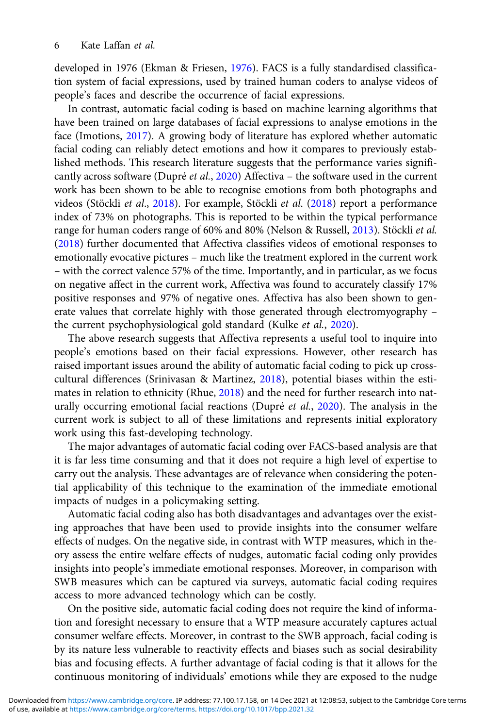developed in 1976 (Ekman & Friesen, [1976\)](#page-14-0). FACS is a fully standardised classification system of facial expressions, used by trained human coders to analyse videos of people's faces and describe the occurrence of facial expressions.

In contrast, automatic facial coding is based on machine learning algorithms that have been trained on large databases of facial expressions to analyse emotions in the face (Imotions, [2017](#page-15-0)). A growing body of literature has explored whether automatic facial coding can reliably detect emotions and how it compares to previously established methods. This research literature suggests that the performance varies significantly across software (Dupré et al., [2020\)](#page-14-0) Affectiva – the software used in the current work has been shown to be able to recognise emotions from both photographs and videos (Stöckli et al., [2018\)](#page-16-0). For example, Stöckli et al. ([2018](#page-16-0)) report a performance index of 73% on photographs. This is reported to be within the typical performance range for human coders range of 60% and 80% (Nelson & Russell, [2013\)](#page-15-0). Stöckli et al. ([2018\)](#page-16-0) further documented that Affectiva classifies videos of emotional responses to emotionally evocative pictures – much like the treatment explored in the current work – with the correct valence 57% of the time. Importantly, and in particular, as we focus on negative affect in the current work, Affectiva was found to accurately classify 17% positive responses and 97% of negative ones. Affectiva has also been shown to generate values that correlate highly with those generated through electromyography – the current psychophysiological gold standard (Kulke et al., [2020\)](#page-15-0).

The above research suggests that Affectiva represents a useful tool to inquire into people's emotions based on their facial expressions. However, other research has raised important issues around the ability of automatic facial coding to pick up crosscultural differences (Srinivasan & Martinez, [2018\)](#page-16-0), potential biases within the estimates in relation to ethnicity (Rhue, [2018\)](#page-15-0) and the need for further research into naturally occurring emotional facial reactions (Dupré et al., [2020](#page-14-0)). The analysis in the current work is subject to all of these limitations and represents initial exploratory work using this fast-developing technology.

The major advantages of automatic facial coding over FACS-based analysis are that it is far less time consuming and that it does not require a high level of expertise to carry out the analysis. These advantages are of relevance when considering the potential applicability of this technique to the examination of the immediate emotional impacts of nudges in a policymaking setting.

Automatic facial coding also has both disadvantages and advantages over the existing approaches that have been used to provide insights into the consumer welfare effects of nudges. On the negative side, in contrast with WTP measures, which in theory assess the entire welfare effects of nudges, automatic facial coding only provides insights into people's immediate emotional responses. Moreover, in comparison with SWB measures which can be captured via surveys, automatic facial coding requires access to more advanced technology which can be costly.

On the positive side, automatic facial coding does not require the kind of information and foresight necessary to ensure that a WTP measure accurately captures actual consumer welfare effects. Moreover, in contrast to the SWB approach, facial coding is by its nature less vulnerable to reactivity effects and biases such as social desirability bias and focusing effects. A further advantage of facial coding is that it allows for the continuous monitoring of individuals' emotions while they are exposed to the nudge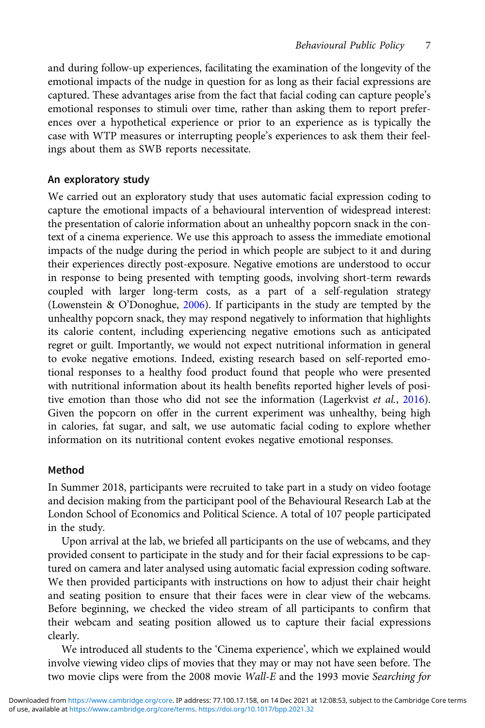and during follow-up experiences, facilitating the examination of the longevity of the emotional impacts of the nudge in question for as long as their facial expressions are captured. These advantages arise from the fact that facial coding can capture people's emotional responses to stimuli over time, rather than asking them to report preferences over a hypothetical experience or prior to an experience as is typically the case with WTP measures or interrupting people's experiences to ask them their feelings about them as SWB reports necessitate.

# An exploratory study

We carried out an exploratory study that uses automatic facial expression coding to capture the emotional impacts of a behavioural intervention of widespread interest: the presentation of calorie information about an unhealthy popcorn snack in the context of a cinema experience. We use this approach to assess the immediate emotional impacts of the nudge during the period in which people are subject to it and during their experiences directly post-exposure. Negative emotions are understood to occur in response to being presented with tempting goods, involving short-term rewards coupled with larger long-term costs, as a part of a self-regulation strategy (Lowenstein & O'Donoghue, [2006\)](#page-15-0). If participants in the study are tempted by the unhealthy popcorn snack, they may respond negatively to information that highlights its calorie content, including experiencing negative emotions such as anticipated regret or guilt. Importantly, we would not expect nutritional information in general to evoke negative emotions. Indeed, existing research based on self-reported emotional responses to a healthy food product found that people who were presented with nutritional information about its health benefits reported higher levels of posi-tive emotion than those who did not see the information (Lagerkvist et al., [2016](#page-15-0)). Given the popcorn on offer in the current experiment was unhealthy, being high in calories, fat sugar, and salt, we use automatic facial coding to explore whether information on its nutritional content evokes negative emotional responses.

# Method

In Summer 2018, participants were recruited to take part in a study on video footage and decision making from the participant pool of the Behavioural Research Lab at the London School of Economics and Political Science. A total of 107 people participated in the study.

Upon arrival at the lab, we briefed all participants on the use of webcams, and they provided consent to participate in the study and for their facial expressions to be captured on camera and later analysed using automatic facial expression coding software. We then provided participants with instructions on how to adjust their chair height and seating position to ensure that their faces were in clear view of the webcams. Before beginning, we checked the video stream of all participants to confirm that their webcam and seating position allowed us to capture their facial expressions clearly.

We introduced all students to the 'Cinema experience', which we explained would involve viewing video clips of movies that they may or may not have seen before. The two movie clips were from the 2008 movie Wall-E and the 1993 movie Searching for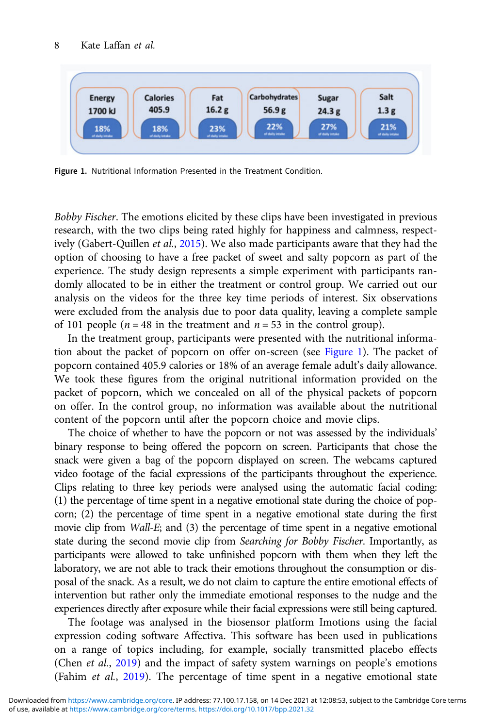

Figure 1. Nutritional Information Presented in the Treatment Condition.

Bobby Fischer. The emotions elicited by these clips have been investigated in previous research, with the two clips being rated highly for happiness and calmness, respectively (Gabert-Quillen et al., [2015\)](#page-15-0). We also made participants aware that they had the option of choosing to have a free packet of sweet and salty popcorn as part of the experience. The study design represents a simple experiment with participants randomly allocated to be in either the treatment or control group. We carried out our analysis on the videos for the three key time periods of interest. Six observations were excluded from the analysis due to poor data quality, leaving a complete sample of 101 people ( $n = 48$  in the treatment and  $n = 53$  in the control group).

In the treatment group, participants were presented with the nutritional information about the packet of popcorn on offer on-screen (see Figure 1). The packet of popcorn contained 405.9 calories or 18% of an average female adult's daily allowance. We took these figures from the original nutritional information provided on the packet of popcorn, which we concealed on all of the physical packets of popcorn on offer. In the control group, no information was available about the nutritional content of the popcorn until after the popcorn choice and movie clips.

The choice of whether to have the popcorn or not was assessed by the individuals' binary response to being offered the popcorn on screen. Participants that chose the snack were given a bag of the popcorn displayed on screen. The webcams captured video footage of the facial expressions of the participants throughout the experience. Clips relating to three key periods were analysed using the automatic facial coding: (1) the percentage of time spent in a negative emotional state during the choice of popcorn; (2) the percentage of time spent in a negative emotional state during the first movie clip from Wall-E; and (3) the percentage of time spent in a negative emotional state during the second movie clip from Searching for Bobby Fischer. Importantly, as participants were allowed to take unfinished popcorn with them when they left the laboratory, we are not able to track their emotions throughout the consumption or disposal of the snack. As a result, we do not claim to capture the entire emotional effects of intervention but rather only the immediate emotional responses to the nudge and the experiences directly after exposure while their facial expressions were still being captured.

The footage was analysed in the biosensor platform Imotions using the facial expression coding software Affectiva. This software has been used in publications on a range of topics including, for example, socially transmitted placebo effects (Chen et al., [2019\)](#page-14-0) and the impact of safety system warnings on people's emotions (Fahim et al., [2019\)](#page-15-0). The percentage of time spent in a negative emotional state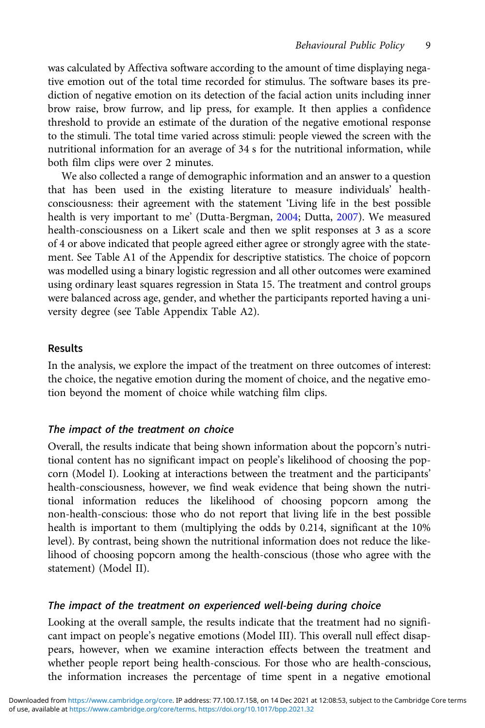was calculated by Affectiva software according to the amount of time displaying negative emotion out of the total time recorded for stimulus. The software bases its prediction of negative emotion on its detection of the facial action units including inner brow raise, brow furrow, and lip press, for example. It then applies a confidence threshold to provide an estimate of the duration of the negative emotional response to the stimuli. The total time varied across stimuli: people viewed the screen with the nutritional information for an average of 34 s for the nutritional information, while both film clips were over 2 minutes.

We also collected a range of demographic information and an answer to a question that has been used in the existing literature to measure individuals' healthconsciousness: their agreement with the statement 'Living life in the best possible health is very important to me' (Dutta-Bergman, [2004;](#page-14-0) Dutta, [2007](#page-14-0)). We measured health-consciousness on a Likert scale and then we split responses at 3 as a score of 4 or above indicated that people agreed either agree or strongly agree with the statement. See Table A1 of the Appendix for descriptive statistics. The choice of popcorn was modelled using a binary logistic regression and all other outcomes were examined using ordinary least squares regression in Stata 15. The treatment and control groups were balanced across age, gender, and whether the participants reported having a university degree (see Table Appendix Table A2).

#### Results

In the analysis, we explore the impact of the treatment on three outcomes of interest: the choice, the negative emotion during the moment of choice, and the negative emotion beyond the moment of choice while watching film clips.

#### The impact of the treatment on choice

Overall, the results indicate that being shown information about the popcorn's nutritional content has no significant impact on people's likelihood of choosing the popcorn (Model I). Looking at interactions between the treatment and the participants' health-consciousness, however, we find weak evidence that being shown the nutritional information reduces the likelihood of choosing popcorn among the non-health-conscious: those who do not report that living life in the best possible health is important to them (multiplying the odds by 0.214, significant at the 10% level). By contrast, being shown the nutritional information does not reduce the likelihood of choosing popcorn among the health-conscious (those who agree with the statement) (Model II).

#### The impact of the treatment on experienced well-being during choice

Looking at the overall sample, the results indicate that the treatment had no significant impact on people's negative emotions (Model III). This overall null effect disappears, however, when we examine interaction effects between the treatment and whether people report being health-conscious. For those who are health-conscious, the information increases the percentage of time spent in a negative emotional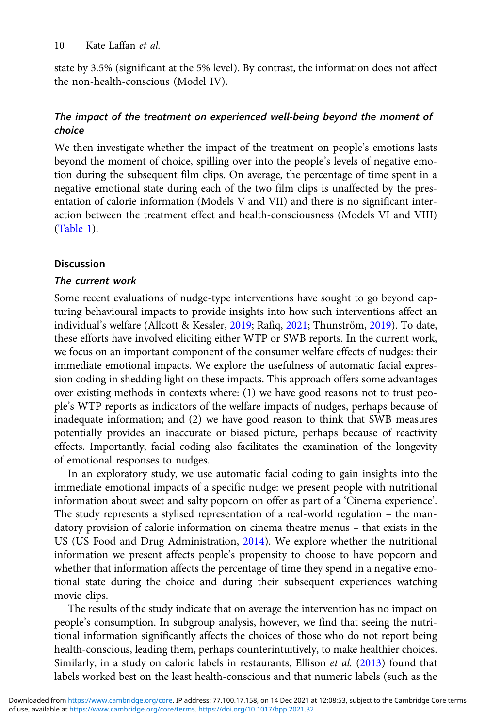state by 3.5% (significant at the 5% level). By contrast, the information does not affect the non-health-conscious (Model IV).

# The impact of the treatment on experienced well-being beyond the moment of choice

We then investigate whether the impact of the treatment on people's emotions lasts beyond the moment of choice, spilling over into the people's levels of negative emotion during the subsequent film clips. On average, the percentage of time spent in a negative emotional state during each of the two film clips is unaffected by the presentation of calorie information (Models V and VII) and there is no significant interaction between the treatment effect and health-consciousness (Models VI and VIII) ([Table 1\)](#page-10-0).

# Discussion

### The current work

Some recent evaluations of nudge-type interventions have sought to go beyond capturing behavioural impacts to provide insights into how such interventions affect an individual's welfare (Allcott & Kessler, [2019](#page-14-0); Rafiq, [2021](#page-15-0); Thunström, [2019\)](#page-16-0). To date, these efforts have involved eliciting either WTP or SWB reports. In the current work, we focus on an important component of the consumer welfare effects of nudges: their immediate emotional impacts. We explore the usefulness of automatic facial expression coding in shedding light on these impacts. This approach offers some advantages over existing methods in contexts where: (1) we have good reasons not to trust people's WTP reports as indicators of the welfare impacts of nudges, perhaps because of inadequate information; and (2) we have good reason to think that SWB measures potentially provides an inaccurate or biased picture, perhaps because of reactivity effects. Importantly, facial coding also facilitates the examination of the longevity of emotional responses to nudges.

In an exploratory study, we use automatic facial coding to gain insights into the immediate emotional impacts of a specific nudge: we present people with nutritional information about sweet and salty popcorn on offer as part of a 'Cinema experience'. The study represents a stylised representation of a real-world regulation – the mandatory provision of calorie information on cinema theatre menus – that exists in the US (US Food and Drug Administration, [2014](#page-16-0)). We explore whether the nutritional information we present affects people's propensity to choose to have popcorn and whether that information affects the percentage of time they spend in a negative emotional state during the choice and during their subsequent experiences watching movie clips.

The results of the study indicate that on average the intervention has no impact on people's consumption. In subgroup analysis, however, we find that seeing the nutritional information significantly affects the choices of those who do not report being health-conscious, leading them, perhaps counterintuitively, to make healthier choices. Similarly, in a study on calorie labels in restaurants, Ellison et al. ([2013\)](#page-15-0) found that labels worked best on the least health-conscious and that numeric labels (such as the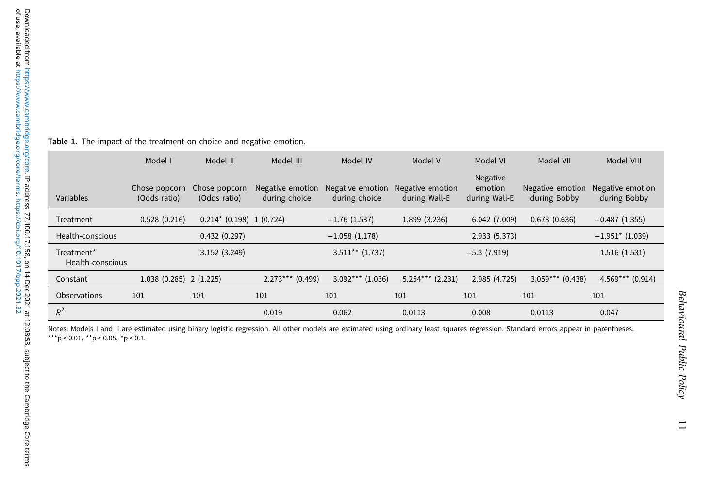|                                | Model I                       | Model II                      | Model III                         | Model IV                          | Model V                           | Model VI                             | Model VII                        | Model VIII                       |
|--------------------------------|-------------------------------|-------------------------------|-----------------------------------|-----------------------------------|-----------------------------------|--------------------------------------|----------------------------------|----------------------------------|
| Variables                      | Chose popcorn<br>(Odds ratio) | Chose popcorn<br>(Odds ratio) | Negative emotion<br>during choice | Negative emotion<br>during choice | Negative emotion<br>during Wall-E | Negative<br>emotion<br>during Wall-E | Negative emotion<br>during Bobby | Negative emotion<br>during Bobby |
| Treatment                      | 0.528(0.216)                  | $0.214$ * (0.198) 1 (0.724)   |                                   | $-1.76(1.537)$                    | 1.899 (3.236)                     | 6.042(7.009)                         | 0.678(0.636)                     | $-0.487(1.355)$                  |
| Health-conscious               |                               | 0.432(0.297)                  |                                   | $-1.058(1.178)$                   |                                   | 2.933 (5.373)                        |                                  | $-1.951$ * (1.039)               |
| Treatment*<br>Health-conscious |                               | 3.152(3.249)                  |                                   | $3.511**$ (1.737)                 |                                   | $-5.3(7.919)$                        |                                  | 1.516(1.531)                     |
| Constant                       | $1.038(0.285)$ 2 (1.225)      |                               | $2.273***$ (0.499)                | $3.092***$ (1.036)                | $5.254***$ (2.231)                | 2.985(4.725)                         | $3.059***$ (0.438)               | $4.569***$ (0.914)               |
| Observations                   | 101                           | 101                           | 101                               | 101                               | 101                               | 101                                  | 101                              | 101                              |
| $R^2$                          |                               |                               | 0.019                             | 0.062                             | 0.0113                            | 0.008                                | 0.0113                           | 0.047                            |

<span id="page-10-0"></span>Table 1. The impact of the treatment on choice and negative emotion.

Notes: Models I and II are estimated using binary logistic regression. All other models are estimated using ordinary least squares regression. Standard errors appear in parentheses.<br>\*\*\*p < 0.01, \*\*p < 0.05, \*p < 0.1.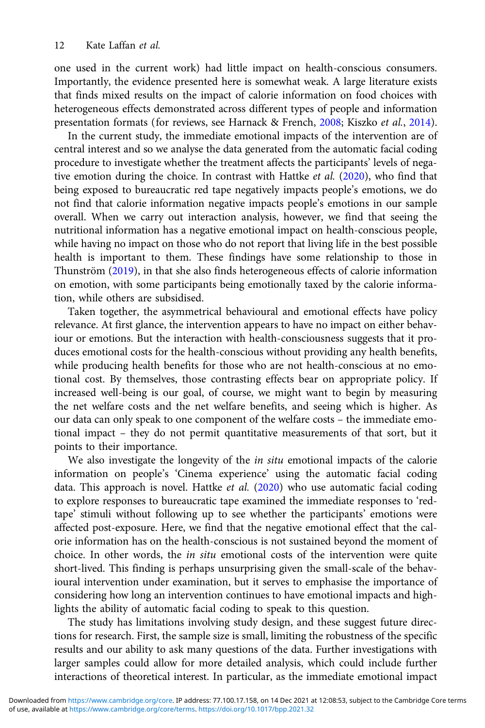one used in the current work) had little impact on health-conscious consumers. Importantly, the evidence presented here is somewhat weak. A large literature exists that finds mixed results on the impact of calorie information on food choices with heterogeneous effects demonstrated across different types of people and information presentation formats (for reviews, see Harnack & French, [2008](#page-15-0); Kiszko et al., [2014\)](#page-15-0).

In the current study, the immediate emotional impacts of the intervention are of central interest and so we analyse the data generated from the automatic facial coding procedure to investigate whether the treatment affects the participants' levels of negative emotion during the choice. In contrast with Hattke et al. ([2020\)](#page-15-0), who find that being exposed to bureaucratic red tape negatively impacts people's emotions, we do not find that calorie information negative impacts people's emotions in our sample overall. When we carry out interaction analysis, however, we find that seeing the nutritional information has a negative emotional impact on health-conscious people, while having no impact on those who do not report that living life in the best possible health is important to them. These findings have some relationship to those in Thunström ([2019\)](#page-16-0), in that she also finds heterogeneous effects of calorie information on emotion, with some participants being emotionally taxed by the calorie information, while others are subsidised.

Taken together, the asymmetrical behavioural and emotional effects have policy relevance. At first glance, the intervention appears to have no impact on either behaviour or emotions. But the interaction with health-consciousness suggests that it produces emotional costs for the health-conscious without providing any health benefits, while producing health benefits for those who are not health-conscious at no emotional cost. By themselves, those contrasting effects bear on appropriate policy. If increased well-being is our goal, of course, we might want to begin by measuring the net welfare costs and the net welfare benefits, and seeing which is higher. As our data can only speak to one component of the welfare costs – the immediate emotional impact – they do not permit quantitative measurements of that sort, but it points to their importance.

We also investigate the longevity of the in situ emotional impacts of the calorie information on people's 'Cinema experience' using the automatic facial coding data. This approach is novel. Hattke et al. ([2020](#page-15-0)) who use automatic facial coding to explore responses to bureaucratic tape examined the immediate responses to 'redtape' stimuli without following up to see whether the participants' emotions were affected post-exposure. Here, we find that the negative emotional effect that the calorie information has on the health-conscious is not sustained beyond the moment of choice. In other words, the in situ emotional costs of the intervention were quite short-lived. This finding is perhaps unsurprising given the small-scale of the behavioural intervention under examination, but it serves to emphasise the importance of considering how long an intervention continues to have emotional impacts and highlights the ability of automatic facial coding to speak to this question.

The study has limitations involving study design, and these suggest future directions for research. First, the sample size is small, limiting the robustness of the specific results and our ability to ask many questions of the data. Further investigations with larger samples could allow for more detailed analysis, which could include further interactions of theoretical interest. In particular, as the immediate emotional impact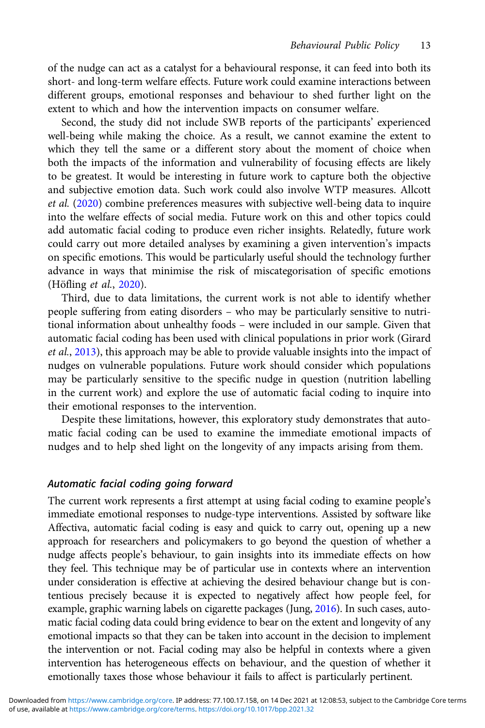of the nudge can act as a catalyst for a behavioural response, it can feed into both its short- and long-term welfare effects. Future work could examine interactions between different groups, emotional responses and behaviour to shed further light on the extent to which and how the intervention impacts on consumer welfare.

Second, the study did not include SWB reports of the participants' experienced well-being while making the choice. As a result, we cannot examine the extent to which they tell the same or a different story about the moment of choice when both the impacts of the information and vulnerability of focusing effects are likely to be greatest. It would be interesting in future work to capture both the objective and subjective emotion data. Such work could also involve WTP measures. Allcott et al. [\(2020](#page-14-0)) combine preferences measures with subjective well-being data to inquire into the welfare effects of social media. Future work on this and other topics could add automatic facial coding to produce even richer insights. Relatedly, future work could carry out more detailed analyses by examining a given intervention's impacts on specific emotions. This would be particularly useful should the technology further advance in ways that minimise the risk of miscategorisation of specific emotions (Höfling et al., [2020\)](#page-15-0).

Third, due to data limitations, the current work is not able to identify whether people suffering from eating disorders – who may be particularly sensitive to nutritional information about unhealthy foods – were included in our sample. Given that automatic facial coding has been used with clinical populations in prior work (Girard et al., [2013](#page-15-0)), this approach may be able to provide valuable insights into the impact of nudges on vulnerable populations. Future work should consider which populations may be particularly sensitive to the specific nudge in question (nutrition labelling in the current work) and explore the use of automatic facial coding to inquire into their emotional responses to the intervention.

Despite these limitations, however, this exploratory study demonstrates that automatic facial coding can be used to examine the immediate emotional impacts of nudges and to help shed light on the longevity of any impacts arising from them.

#### Automatic facial coding going forward

The current work represents a first attempt at using facial coding to examine people's immediate emotional responses to nudge-type interventions. Assisted by software like Affectiva, automatic facial coding is easy and quick to carry out, opening up a new approach for researchers and policymakers to go beyond the question of whether a nudge affects people's behaviour, to gain insights into its immediate effects on how they feel. This technique may be of particular use in contexts where an intervention under consideration is effective at achieving the desired behaviour change but is contentious precisely because it is expected to negatively affect how people feel, for example, graphic warning labels on cigarette packages (Jung, [2016\)](#page-15-0). In such cases, automatic facial coding data could bring evidence to bear on the extent and longevity of any emotional impacts so that they can be taken into account in the decision to implement the intervention or not. Facial coding may also be helpful in contexts where a given intervention has heterogeneous effects on behaviour, and the question of whether it emotionally taxes those whose behaviour it fails to affect is particularly pertinent.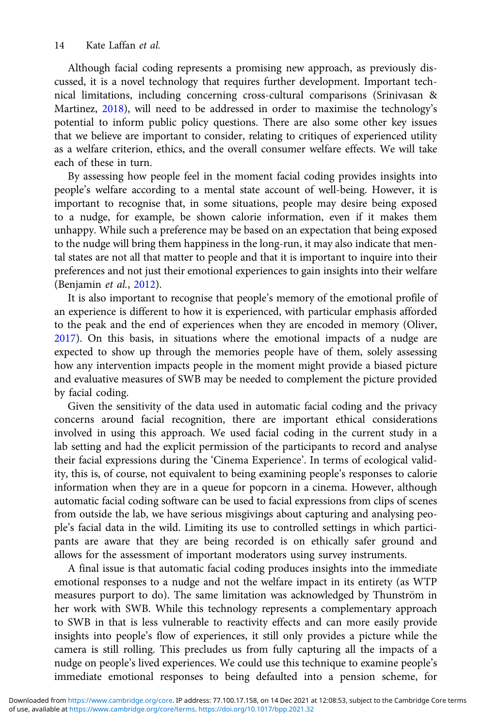Although facial coding represents a promising new approach, as previously discussed, it is a novel technology that requires further development. Important technical limitations, including concerning cross-cultural comparisons (Srinivasan & Martinez, [2018\)](#page-16-0), will need to be addressed in order to maximise the technology's potential to inform public policy questions. There are also some other key issues that we believe are important to consider, relating to critiques of experienced utility as a welfare criterion, ethics, and the overall consumer welfare effects. We will take each of these in turn.

By assessing how people feel in the moment facial coding provides insights into people's welfare according to a mental state account of well-being. However, it is important to recognise that, in some situations, people may desire being exposed to a nudge, for example, be shown calorie information, even if it makes them unhappy. While such a preference may be based on an expectation that being exposed to the nudge will bring them happiness in the long-run, it may also indicate that mental states are not all that matter to people and that it is important to inquire into their preferences and not just their emotional experiences to gain insights into their welfare (Benjamin et al., [2012](#page-14-0)).

It is also important to recognise that people's memory of the emotional profile of an experience is different to how it is experienced, with particular emphasis afforded to the peak and the end of experiences when they are encoded in memory (Oliver, [2017](#page-15-0)). On this basis, in situations where the emotional impacts of a nudge are expected to show up through the memories people have of them, solely assessing how any intervention impacts people in the moment might provide a biased picture and evaluative measures of SWB may be needed to complement the picture provided by facial coding.

Given the sensitivity of the data used in automatic facial coding and the privacy concerns around facial recognition, there are important ethical considerations involved in using this approach. We used facial coding in the current study in a lab setting and had the explicit permission of the participants to record and analyse their facial expressions during the 'Cinema Experience'. In terms of ecological validity, this is, of course, not equivalent to being examining people's responses to calorie information when they are in a queue for popcorn in a cinema. However, although automatic facial coding software can be used to facial expressions from clips of scenes from outside the lab, we have serious misgivings about capturing and analysing people's facial data in the wild. Limiting its use to controlled settings in which participants are aware that they are being recorded is on ethically safer ground and allows for the assessment of important moderators using survey instruments.

A final issue is that automatic facial coding produces insights into the immediate emotional responses to a nudge and not the welfare impact in its entirety (as WTP measures purport to do). The same limitation was acknowledged by Thunström in her work with SWB. While this technology represents a complementary approach to SWB in that is less vulnerable to reactivity effects and can more easily provide insights into people's flow of experiences, it still only provides a picture while the camera is still rolling. This precludes us from fully capturing all the impacts of a nudge on people's lived experiences. We could use this technique to examine people's immediate emotional responses to being defaulted into a pension scheme, for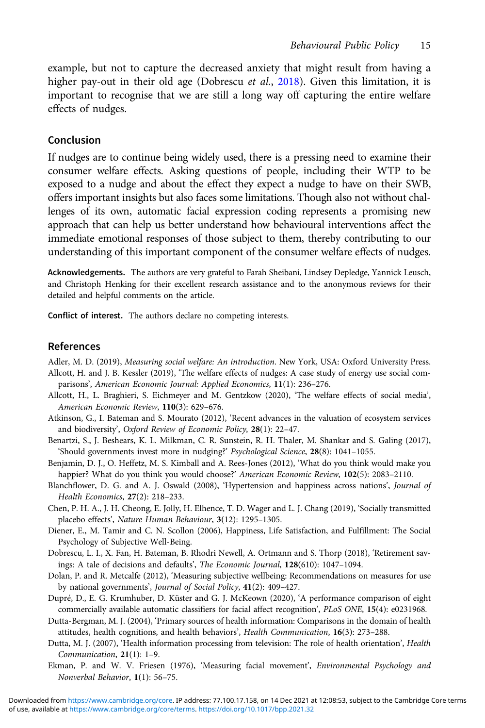<span id="page-14-0"></span>example, but not to capture the decreased anxiety that might result from having a higher pay-out in their old age (Dobrescu *et al.*, 2018). Given this limitation, it is important to recognise that we are still a long way off capturing the entire welfare effects of nudges.

#### Conclusion

If nudges are to continue being widely used, there is a pressing need to examine their consumer welfare effects. Asking questions of people, including their WTP to be exposed to a nudge and about the effect they expect a nudge to have on their SWB, offers important insights but also faces some limitations. Though also not without challenges of its own, automatic facial expression coding represents a promising new approach that can help us better understand how behavioural interventions affect the immediate emotional responses of those subject to them, thereby contributing to our understanding of this important component of the consumer welfare effects of nudges.

Acknowledgements. The authors are very grateful to Farah Sheibani, Lindsey Depledge, Yannick Leusch, and Christoph Henking for their excellent research assistance and to the anonymous reviews for their detailed and helpful comments on the article.

Conflict of interest. The authors declare no competing interests.

#### References

Adler, M. D. (2019), Measuring social welfare: An introduction. New York, USA: Oxford University Press.

- Allcott, H. and J. B. Kessler (2019), 'The welfare effects of nudges: A case study of energy use social comparisons', American Economic Journal: Applied Economics, 11(1): 236–276.
- Allcott, H., L. Braghieri, S. Eichmeyer and M. Gentzkow (2020), 'The welfare effects of social media', American Economic Review, 110(3): 629–676.
- Atkinson, G., I. Bateman and S. Mourato (2012), 'Recent advances in the valuation of ecosystem services and biodiversity', Oxford Review of Economic Policy, 28(1): 22–47.
- Benartzi, S., J. Beshears, K. L. Milkman, C. R. Sunstein, R. H. Thaler, M. Shankar and S. Galing (2017), 'Should governments invest more in nudging?' Psychological Science, 28(8): 1041–1055.
- Benjamin, D. J., O. Heffetz, M. S. Kimball and A. Rees-Jones (2012), 'What do you think would make you happier? What do you think you would choose?' American Economic Review, 102(5): 2083-2110.
- Blanchflower, D. G. and A. J. Oswald (2008), 'Hypertension and happiness across nations', Journal of Health Economics, 27(2): 218–233.
- Chen, P. H. A., J. H. Cheong, E. Jolly, H. Elhence, T. D. Wager and L. J. Chang (2019), 'Socially transmitted placebo effects', Nature Human Behaviour, 3(12): 1295–1305.
- Diener, E., M. Tamir and C. N. Scollon (2006), Happiness, Life Satisfaction, and Fulfillment: The Social Psychology of Subjective Well-Being.
- Dobrescu, L. I., X. Fan, H. Bateman, B. Rhodri Newell, A. Ortmann and S. Thorp (2018), 'Retirement savings: A tale of decisions and defaults', The Economic Journal, 128(610): 1047–1094.
- Dolan, P. and R. Metcalfe (2012), 'Measuring subjective wellbeing: Recommendations on measures for use by national governments', Journal of Social Policy, 41(2): 409–427.
- Dupré, D., E. G. Krumhuber, D. Küster and G. J. McKeown (2020), 'A performance comparison of eight commercially available automatic classifiers for facial affect recognition', PLoS ONE, 15(4): e0231968.
- Dutta-Bergman, M. J. (2004), 'Primary sources of health information: Comparisons in the domain of health attitudes, health cognitions, and health behaviors', Health Communication, 16(3): 273–288.
- Dutta, M. J. (2007), 'Health information processing from television: The role of health orientation', Health Communication, 21(1): 1–9.
- Ekman, P. and W. V. Friesen (1976), 'Measuring facial movement', Environmental Psychology and Nonverbal Behavior, 1(1): 56–75.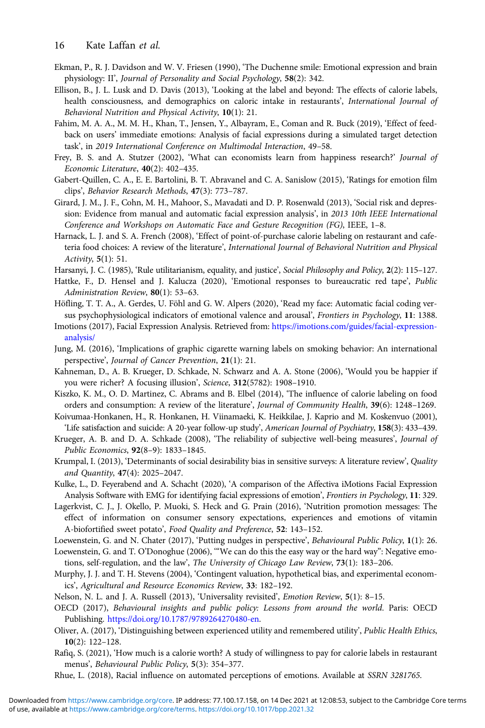- <span id="page-15-0"></span>Ekman, P., R. J. Davidson and W. V. Friesen (1990), 'The Duchenne smile: Emotional expression and brain physiology: II', Journal of Personality and Social Psychology, 58(2): 342.
- Ellison, B., J. L. Lusk and D. Davis (2013), 'Looking at the label and beyond: The effects of calorie labels, health consciousness, and demographics on caloric intake in restaurants', International Journal of Behavioral Nutrition and Physical Activity, 10(1): 21.
- Fahim, M. A. A., M. M. H., Khan, T., Jensen, Y., Albayram, E., Coman and R. Buck (2019), 'Effect of feedback on users' immediate emotions: Analysis of facial expressions during a simulated target detection task', in 2019 International Conference on Multimodal Interaction, 49–58.
- Frey, B. S. and A. Stutzer (2002), 'What can economists learn from happiness research?' Journal of Economic Literature, 40(2): 402–435.
- Gabert-Quillen, C. A., E. E. Bartolini, B. T. Abravanel and C. A. Sanislow (2015), 'Ratings for emotion film clips', Behavior Research Methods, 47(3): 773–787.
- Girard, J. M., J. F., Cohn, M. H., Mahoor, S., Mavadati and D. P. Rosenwald (2013), 'Social risk and depression: Evidence from manual and automatic facial expression analysis', in 2013 10th IEEE International Conference and Workshops on Automatic Face and Gesture Recognition (FG), IEEE, 1–8.
- Harnack, L. J. and S. A. French (2008), 'Effect of point-of-purchase calorie labeling on restaurant and cafeteria food choices: A review of the literature', International Journal of Behavioral Nutrition and Physical Activity, 5(1): 51.
- Harsanyi, J. C. (1985), 'Rule utilitarianism, equality, and justice', Social Philosophy and Policy, 2(2): 115–127.
- Hattke, F., D. Hensel and J. Kalucza (2020), 'Emotional responses to bureaucratic red tape', Public Administration Review, 80(1): 53-63.
- Höfling, T. T. A., A. Gerdes, U. Föhl and G. W. Alpers (2020), 'Read my face: Automatic facial coding versus psychophysiological indicators of emotional valence and arousal', Frontiers in Psychology, 11: 1388.
- Imotions (2017), Facial Expression Analysis. Retrieved from: [https://imotions.com/guides/facial-expression](https://imotions.com/guides/facial-expression-analysis/)[analysis/](https://imotions.com/guides/facial-expression-analysis/)
- Jung, M. (2016), 'Implications of graphic cigarette warning labels on smoking behavior: An international perspective', Journal of Cancer Prevention, 21(1): 21.
- Kahneman, D., A. B. Krueger, D. Schkade, N. Schwarz and A. A. Stone (2006), 'Would you be happier if you were richer? A focusing illusion', Science, 312(5782): 1908-1910.
- Kiszko, K. M., O. D. Martinez, C. Abrams and B. Elbel (2014), 'The influence of calorie labeling on food orders and consumption: A review of the literature', Journal of Community Health, 39(6): 1248–1269.
- Koivumaa-Honkanen, H., R. Honkanen, H. Viinamaeki, K. Heikkilae, J. Kaprio and M. Koskenvuo (2001), 'Life satisfaction and suicide: A 20-year follow-up study', American Journal of Psychiatry, 158(3): 433–439.
- Krueger, A. B. and D. A. Schkade (2008), 'The reliability of subjective well-being measures', Journal of Public Economics, 92(8–9): 1833–1845.
- Krumpal, I. (2013), 'Determinants of social desirability bias in sensitive surveys: A literature review', Quality and Quantity, 47(4): 2025–2047.
- Kulke, L., D. Feyerabend and A. Schacht (2020), 'A comparison of the Affectiva iMotions Facial Expression Analysis Software with EMG for identifying facial expressions of emotion', Frontiers in Psychology, 11: 329.
- Lagerkvist, C. J., J. Okello, P. Muoki, S. Heck and G. Prain (2016), 'Nutrition promotion messages: The effect of information on consumer sensory expectations, experiences and emotions of vitamin A-biofortified sweet potato', Food Quality and Preference, 52: 143–152.
- Loewenstein, G. and N. Chater (2017), 'Putting nudges in perspective', Behavioural Public Policy, 1(1): 26.
- Loewenstein, G. and T. O'Donoghue (2006), '"We can do this the easy way or the hard way": Negative emotions, self-regulation, and the law', The University of Chicago Law Review, 73(1): 183–206.
- Murphy, J. J. and T. H. Stevens (2004), 'Contingent valuation, hypothetical bias, and experimental economics', Agricultural and Resource Economics Review, 33: 182–192.
- Nelson, N. L. and J. A. Russell (2013), 'Universality revisited', Emotion Review, 5(1): 8–15.
- OECD (2017), Behavioural insights and public policy: Lessons from around the world. Paris: OECD Publishing. <https://doi.org/10.1787/9789264270480-en>.
- Oliver, A. (2017), 'Distinguishing between experienced utility and remembered utility', Public Health Ethics, 10(2): 122–128.
- Rafiq, S. (2021), 'How much is a calorie worth? A study of willingness to pay for calorie labels in restaurant menus', Behavioural Public Policy, 5(3): 354–377.
- Rhue, L. (2018), Racial influence on automated perceptions of emotions. Available at SSRN 3281765.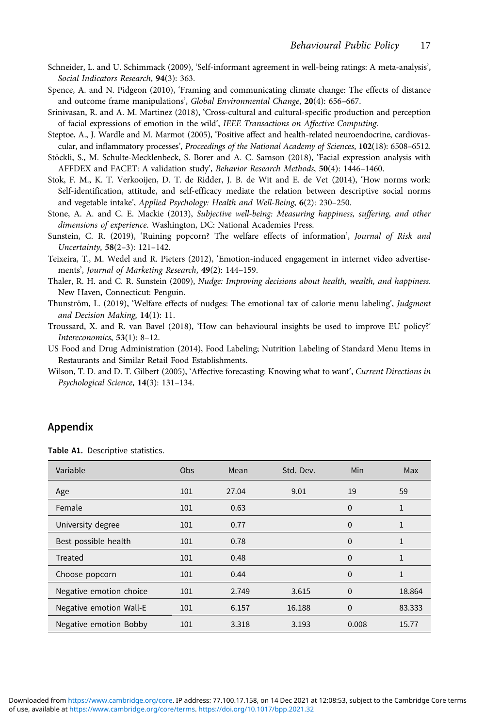- <span id="page-16-0"></span>Schneider, L. and U. Schimmack (2009), 'Self-informant agreement in well-being ratings: A meta-analysis', Social Indicators Research, 94(3): 363.
- Spence, A. and N. Pidgeon (2010), 'Framing and communicating climate change: The effects of distance and outcome frame manipulations', Global Environmental Change, 20(4): 656–667.
- Srinivasan, R. and A. M. Martinez (2018), 'Cross-cultural and cultural-specific production and perception of facial expressions of emotion in the wild', IEEE Transactions on Affective Computing.
- Steptoe, A., J. Wardle and M. Marmot (2005), 'Positive affect and health-related neuroendocrine, cardiovascular, and inflammatory processes', Proceedings of the National Academy of Sciences, 102(18): 6508–6512.
- Stöckli, S., M. Schulte-Mecklenbeck, S. Borer and A. C. Samson (2018), 'Facial expression analysis with AFFDEX and FACET: A validation study', Behavior Research Methods, 50(4): 1446–1460.
- Stok, F. M., K. T. Verkooijen, D. T. de Ridder, J. B. de Wit and E. de Vet (2014), 'How norms work: Self-identification, attitude, and self-efficacy mediate the relation between descriptive social norms and vegetable intake', Applied Psychology: Health and Well-Being, 6(2): 230–250.
- Stone, A. A. and C. E. Mackie (2013), Subjective well-being: Measuring happiness, suffering, and other dimensions of experience. Washington, DC: National Academies Press.
- Sunstein, C. R. (2019), 'Ruining popcorn? The welfare effects of information', Journal of Risk and Uncertainty, 58(2–3): 121–142.
- Teixeira, T., M. Wedel and R. Pieters (2012), 'Emotion-induced engagement in internet video advertisements', Journal of Marketing Research, 49(2): 144–159.
- Thaler, R. H. and C. R. Sunstein (2009), Nudge: Improving decisions about health, wealth, and happiness. New Haven, Connecticut: Penguin.
- Thunström, L. (2019), 'Welfare effects of nudges: The emotional tax of calorie menu labeling', Judgment and Decision Making, 14(1): 11.
- Troussard, X. and R. van Bavel (2018), 'How can behavioural insights be used to improve EU policy?' Intereconomics, 53(1): 8–12.
- US Food and Drug Administration (2014), Food Labeling; Nutrition Labeling of Standard Menu Items in Restaurants and Similar Retail Food Establishments.
- Wilson, T. D. and D. T. Gilbert (2005), 'Affective forecasting: Knowing what to want', Current Directions in Psychological Science, 14(3): 131–134.

## Appendix

Table A1. Descriptive statistics.

| Variable                | Obs | Mean  | Std. Dev. | Min      | Max          |
|-------------------------|-----|-------|-----------|----------|--------------|
| Age                     | 101 | 27.04 | 9.01      | 19       | 59           |
| Female                  | 101 | 0.63  |           | $\Omega$ | 1            |
| University degree       | 101 | 0.77  |           | $\Omega$ | $\mathbf{1}$ |
| Best possible health    | 101 | 0.78  |           | $\Omega$ | 1            |
| Treated                 | 101 | 0.48  |           | $\Omega$ | 1            |
| Choose popcorn          | 101 | 0.44  |           | $\Omega$ | $\mathbf{1}$ |
| Negative emotion choice | 101 | 2.749 | 3.615     | $\Omega$ | 18.864       |
| Negative emotion Wall-E | 101 | 6.157 | 16.188    | $\Omega$ | 83.333       |
| Negative emotion Bobby  | 101 | 3.318 | 3.193     | 0.008    | 15.77        |